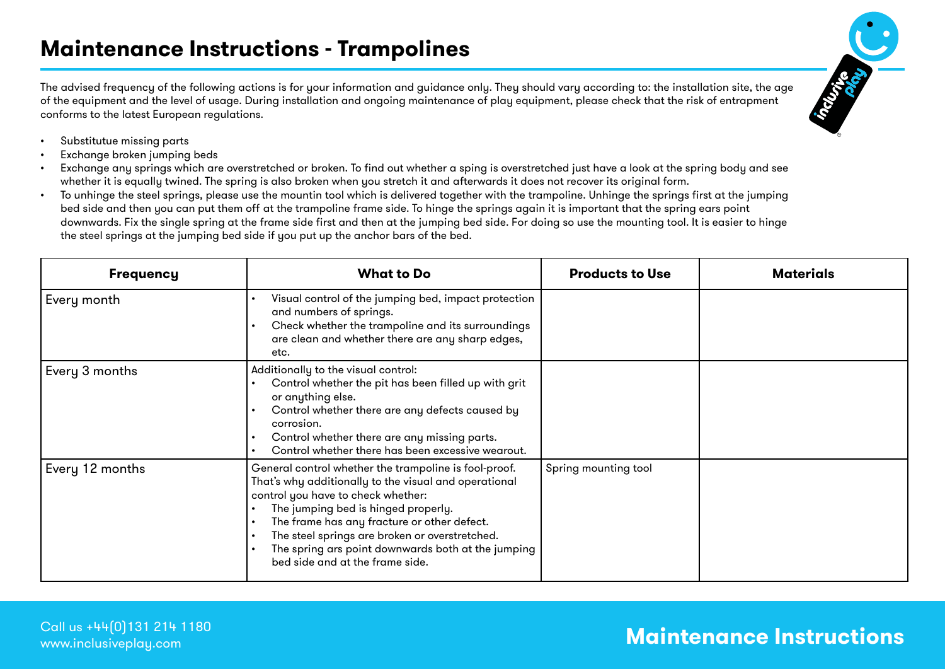The advised frequency of the following actions is for your information and guidance only. They should vary according to: the installation site, the age of the equipment and the level of usage. During installation and ongoing maintenance of play equipment, please check that the risk of entrapment conforms to the latest European regulations.



- • Substitutue missing parts
- Exchange broken jumping beds
- Exchange any springs which are overstretched or broken. To find out whether a sping is overstretched just have a look at the spring body and see whether it is equally twined. The spring is also broken when you stretch it and afterwards it does not recover its original form.
- • To unhinge the steel springs, please use the mountin tool which is delivered together with the trampoline. Unhinge the springs first at the jumping bed side and then you can put them off at the trampoline frame side. To hinge the springs again it is important that the spring ears point downwards. Fix the single spring at the frame side first and then at the jumping bed side. For doing so use the mounting tool. It is easier to hinge the steel springs at the jumping bed side if you put up the anchor bars of the bed.

| <b>Frequency</b> | <b>What to Do</b>                                                                                                                                                                                                                                                                                                                                                                                                                         | <b>Products to Use</b> | <b>Materials</b> |
|------------------|-------------------------------------------------------------------------------------------------------------------------------------------------------------------------------------------------------------------------------------------------------------------------------------------------------------------------------------------------------------------------------------------------------------------------------------------|------------------------|------------------|
| Every month      | Visual control of the jumping bed, impact protection<br>$\bullet$<br>and numbers of springs.<br>Check whether the trampoline and its surroundings<br>$\bullet$<br>are clean and whether there are any sharp edges,<br>etc.                                                                                                                                                                                                                |                        |                  |
| Every 3 months   | Additionally to the visual control:<br>Control whether the pit has been filled up with grit<br>or anything else.<br>Control whether there are any defects caused by<br>corrosion.<br>Control whether there are any missing parts.<br>Control whether there has been excessive wearout.                                                                                                                                                    |                        |                  |
| Every 12 months  | General control whether the trampoline is fool-proof.<br>That's why additionally to the visual and operational<br>control you have to check whether:<br>The jumping bed is hinged properly.<br>$\bullet$<br>The frame has any fracture or other defect.<br>$\bullet$<br>The steel springs are broken or overstretched.<br>$\bullet$<br>The spring ars point downwards both at the jumping<br>$\bullet$<br>bed side and at the frame side. | Spring mounting tool   |                  |

## **Maintenance Instructions** Call us +44(0)131 214 1180